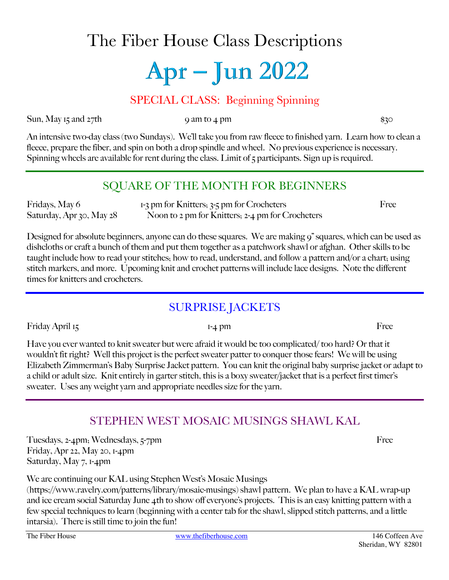# The Fiber House Class Descriptions

# Apr – Jun 2022

#### SPECIAL CLASS: Beginning Spinning

Sun, May 15 and 27th 9 am to 4 pm

An intensive two-day class (two Sundays). We'll take you from raw fleece to finished yarn. Learn how to clean a fleece, prepare the fiber, and spin on both a drop spindle and wheel. No previous experience is necessary. Spinning wheels are available for rent during the class. Limit of  $\zeta$  participants. Sign up is required.

### SQUARE OF THE MONTH FOR BEGINNERS

Fridays, May 6 1-3 pm for Knitters; 3-5 pm for Crocheters Free Saturday, Apr 30, May 28 Noon to 2 pm for Knitters; 2-4 pm for Crocheters

Designed for absolute beginners, anyone can do these squares. We are making 9" squares, which can be used as dishcloths or craft a bunch of them and put them together as a patchwork shawl or afghan. Other skills to be taught include how to read your stitches; how to read, understand, and follow a pattern and/or a chart; using stitch markers, and more. Upcoming knit and crochet patterns will include lace designs. Note the different times for knitters and crocheters.

# SURPRISE JACKETS

Friday April 15 Free

Have you ever wanted to knit sweater but were afraid it would be too complicated/ too hard? Or that it wouldn't fit right? Well this project is the perfect sweater patter to conquer those fears! We will be using Elizabeth Zimmerman's Baby Surprise Jacket pattern. You can knit the original baby surprise jacket or adapt to a child or adult size. Knit entirely in garter stitch, this is a boxy sweater/jacket that is a perfect first timer's sweater. Uses any weight yarn and appropriate needles size for the yarn.

# STEPHEN WEST MOSAIC MUSINGS SHAWL KAL

Tuesdays, 2-4pm; Wednesdays, 5-7pm Free Friday, Apr 22, May 20, 1-4pm Saturday, May 7, 1-4pm

We are continuing our KAL using Stephen West's Mosaic Musings

(https://www.ravelry.com/patterns/library/mosaic-musings) shawl pattern. We plan to have a KAL wrap-up and ice cream social Saturday June 4th to show off everyone's projects. This is an easy knitting pattern with a few special techniques to learn (beginning with a center tab for the shawl, slipped stitch patterns, and a little intarsia). There is still time to join the fun!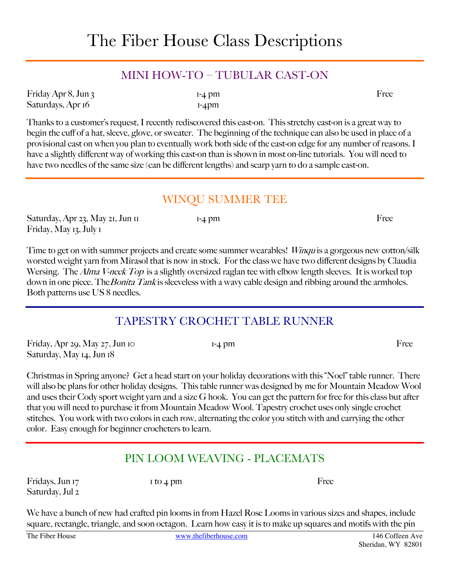#### MINI HOW-TO – TUBULAR CAST-ON

| Friday Apr 8, Jun 3 | $I-4$ $DII$ | Free |
|---------------------|-------------|------|
| Saturdays, Apr 16   | $I-4$ pm    |      |

Thanks to a customer's request, I recently rediscovered this cast-on. This stretchy cast-on is a great way to begin the cuff of a hat, sleeve, glove, or sweater. The beginning of the technique can also be used in place of a provisional cast on when you plan to eventually work both side of the cast-on edge for any number of reasons. I have a slightly different way of working this cast-on than is shown in most on-line tutorials. You will need to have two needles of the same size (can be different lengths) and scarp yarn to do a sample cast-on.

#### WINQU SUMMER TEE

Saturday, Apr 23, May 21, Jun 11 1-4 pm Free Friday, May 13, July 1

Time to get on with summer projects and create some summer wearables! Winqu is a gorgeous new cotton/silk worsted weight yarn from Mirasol that is now in stock. For the class we have two different designs by Claudia Wersing. The *Alma V-neck Top* is a slightly oversized raglan tee with elbow length sleeves. It is worked top down in one piece. The *Bonita Tank* is sleeveless with a wavy cable design and ribbing around the armholes. Both patterns use US 8 needles.

# TAPESTRY CROCHET TABLE RUNNER

Friday, Apr 29, May  $27$ , Jun 10 1-4 pm Saturday, May 14, Jun 18

Christmas in Spring anyone? Get a head start on your holiday decorations with this "Noel" table runner. There will also be plans for other holiday designs. This table runner was designed by me for Mountain Meadow Wool and uses their Cody sport weight yarn and a size G hook. You can get the pattern for free for this class but after that you will need to purchase it from Mountain Meadow Wool. Tapestry crochet uses only single crochet stitches. You work with two colors in each row, alternating the color you stitch with and carrying the other color. Easy enough for beginner crocheters to learn.

# PIN LOOM WEAVING - PLACEMATS

Fridays, Jun 17 1 to 4 pm Saturday, Jul 2

We have a bunch of new had crafted pin looms in from Hazel Rose Looms in various sizes and shapes, include square, rectangle, triangle, and soon octagon. Learn how easy it is to make up squares and motifs with the pin